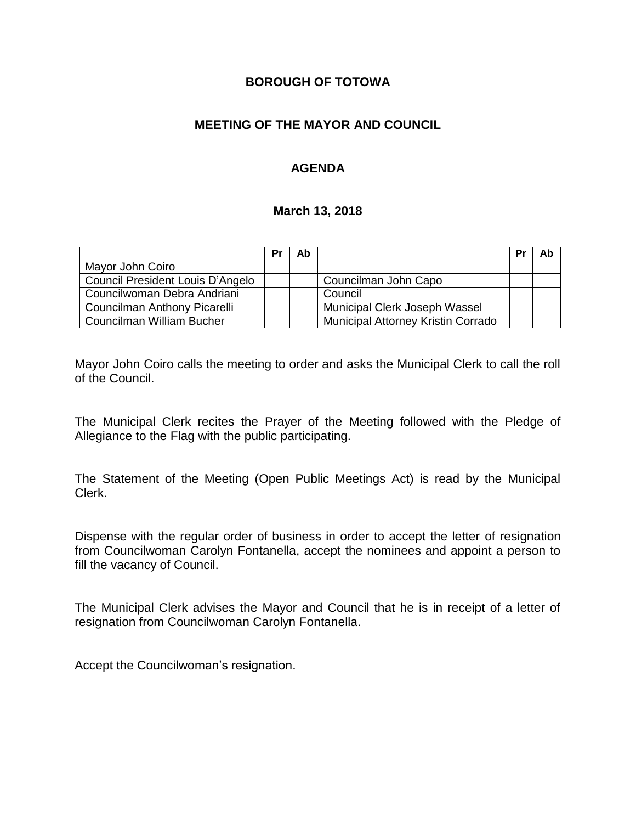### **BOROUGH OF TOTOWA**

## **MEETING OF THE MAYOR AND COUNCIL**

## **AGENDA**

#### **March 13, 2018**

|                                  | Pr | Ab |                                    | Pr | Ab |
|----------------------------------|----|----|------------------------------------|----|----|
| Mayor John Coiro                 |    |    |                                    |    |    |
| Council President Louis D'Angelo |    |    | Councilman John Capo               |    |    |
| Councilwoman Debra Andriani      |    |    | Council                            |    |    |
| Councilman Anthony Picarelli     |    |    | Municipal Clerk Joseph Wassel      |    |    |
| Councilman William Bucher        |    |    | Municipal Attorney Kristin Corrado |    |    |

Mayor John Coiro calls the meeting to order and asks the Municipal Clerk to call the roll of the Council.

The Municipal Clerk recites the Prayer of the Meeting followed with the Pledge of Allegiance to the Flag with the public participating.

The Statement of the Meeting (Open Public Meetings Act) is read by the Municipal Clerk.

Dispense with the regular order of business in order to accept the letter of resignation from Councilwoman Carolyn Fontanella, accept the nominees and appoint a person to fill the vacancy of Council.

The Municipal Clerk advises the Mayor and Council that he is in receipt of a letter of resignation from Councilwoman Carolyn Fontanella.

Accept the Councilwoman's resignation.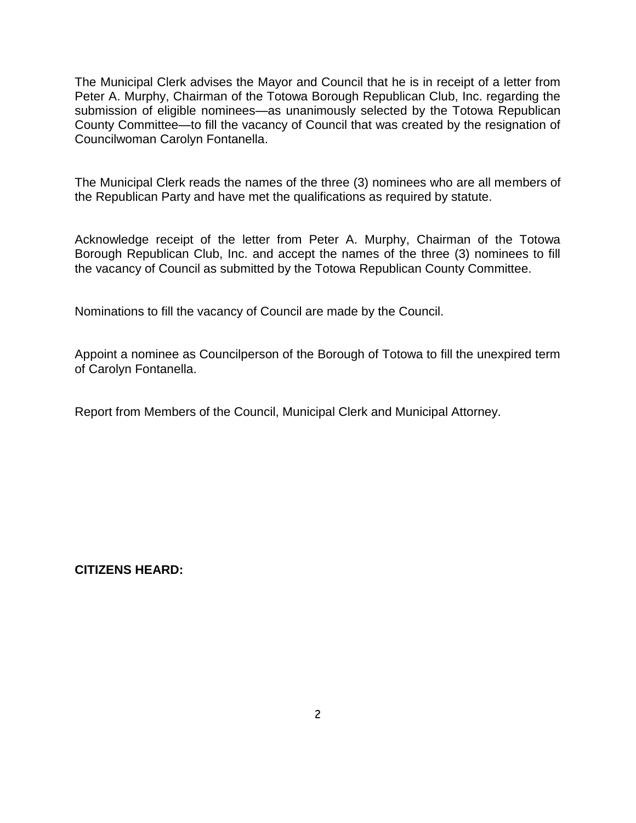The Municipal Clerk advises the Mayor and Council that he is in receipt of a letter from Peter A. Murphy, Chairman of the Totowa Borough Republican Club, Inc. regarding the submission of eligible nominees—as unanimously selected by the Totowa Republican County Committee—to fill the vacancy of Council that was created by the resignation of Councilwoman Carolyn Fontanella.

The Municipal Clerk reads the names of the three (3) nominees who are all members of the Republican Party and have met the qualifications as required by statute.

Acknowledge receipt of the letter from Peter A. Murphy, Chairman of the Totowa Borough Republican Club, Inc. and accept the names of the three (3) nominees to fill the vacancy of Council as submitted by the Totowa Republican County Committee.

Nominations to fill the vacancy of Council are made by the Council.

Appoint a nominee as Councilperson of the Borough of Totowa to fill the unexpired term of Carolyn Fontanella.

Report from Members of the Council, Municipal Clerk and Municipal Attorney.

**CITIZENS HEARD:**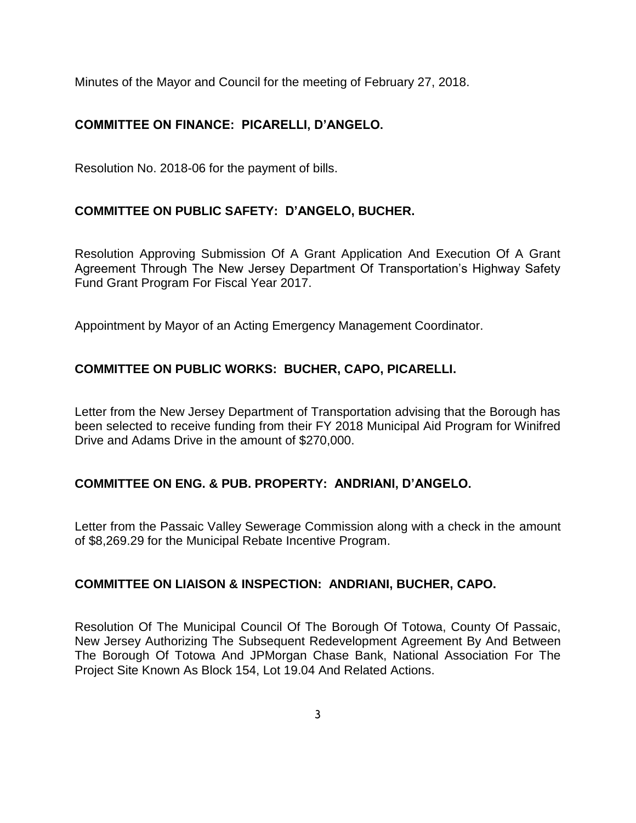Minutes of the Mayor and Council for the meeting of February 27, 2018.

# **COMMITTEE ON FINANCE: PICARELLI, D'ANGELO.**

Resolution No. 2018-06 for the payment of bills.

# **COMMITTEE ON PUBLIC SAFETY: D'ANGELO, BUCHER.**

Resolution Approving Submission Of A Grant Application And Execution Of A Grant Agreement Through The New Jersey Department Of Transportation's Highway Safety Fund Grant Program For Fiscal Year 2017.

Appointment by Mayor of an Acting Emergency Management Coordinator.

# **COMMITTEE ON PUBLIC WORKS: BUCHER, CAPO, PICARELLI.**

Letter from the New Jersey Department of Transportation advising that the Borough has been selected to receive funding from their FY 2018 Municipal Aid Program for Winifred Drive and Adams Drive in the amount of \$270,000.

#### **COMMITTEE ON ENG. & PUB. PROPERTY: ANDRIANI, D'ANGELO.**

Letter from the Passaic Valley Sewerage Commission along with a check in the amount of \$8,269.29 for the Municipal Rebate Incentive Program.

#### **COMMITTEE ON LIAISON & INSPECTION: ANDRIANI, BUCHER, CAPO.**

Resolution Of The Municipal Council Of The Borough Of Totowa, County Of Passaic, New Jersey Authorizing The Subsequent Redevelopment Agreement By And Between The Borough Of Totowa And JPMorgan Chase Bank, National Association For The Project Site Known As Block 154, Lot 19.04 And Related Actions.